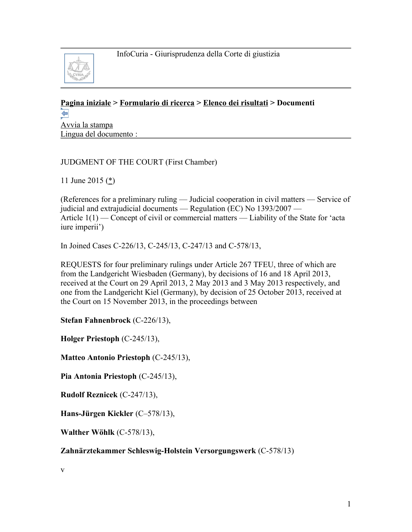

# **[Pagina iniziale](http://curia.europa.eu/jcms/jcms/j_6?PortalAction_x_000_userLang=it) > [Formulario di ricerca](http://curia.europa.eu/juris/document/document.jsf?doclang=EN&text=&pageIndex=0&part=1&mode=lst&docid=164953&occ=first&dir=&actionMethod=document%2Fdocument.xhtml%3AformController.resetAction&cid=744865) > [Elenco dei risultati](http://curia.europa.eu/juris/documents.jsf?pro=&lgrec=it&nat=or&oqp=&lg=&dates=%2524type%253Dpro%2524mode%253DfromTo%2524from%253D2015.05.01%2524to%253D2015.06.18&language=it&jur=C&cit=none%252CC%252CCJ%252CR%252C2008E%252C%252C%252C%252C%252C%252C%252C%252C%252C%252Ctrue%252Cfalse%252Cfalse&td=%3BALL&pcs=Oor&avg=&page=1&mat=or&etat=clot&jge=&for=&cid=744865) > Documenti**  ⇦

[Avvia la stampa](http://curia.europa.eu/juris/document/document_print.jsf?doclang=EN&text=&pageIndex=0&part=1&mode=lst&docid=164953&occ=first&dir=&cid=744865) Lingua del documento :

# JUDGMENT OF THE COURT (First Chamber)

11 June 2015  $(\stackrel{*}{\leq})$ 

(References for a preliminary ruling — Judicial cooperation in civil matters — Service of judicial and extrajudicial documents — Regulation (EC) No 1393/2007 — Article 1(1) — Concept of civil or commercial matters — Liability of the State for 'acta iure imperii')

In Joined Cases C-226/13, C-245/13, C-247/13 and C-578/13,

REQUESTS for four preliminary rulings under Article 267 TFEU, three of which are from the Landgericht Wiesbaden (Germany), by decisions of 16 and 18 April 2013, received at the Court on 29 April 2013, 2 May 2013 and 3 May 2013 respectively, and one from the Landgericht Kiel (Germany), by decision of 25 October 2013, received at the Court on 15 November 2013, in the proceedings between

**Stefan Fahnenbrock** (C-226/13),

**Holger Priestoph** (C-245/13),

**Matteo Antonio Priestoph** (C-245/13),

**Pia Antonia Priestoph** (C-245/13),

**Rudolf Reznicek** (C-247/13),

**Hans-Jürgen Kickler** (C–578/13),

**Walther Wöhlk** (C-578/13),

# **Zahnärztekammer Schleswig-Holstein Versorgungswerk** (C-578/13)

v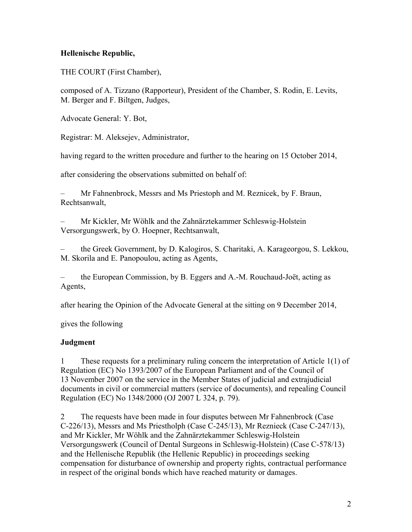### **Hellenische Republic,**

THE COURT (First Chamber),

composed of A. Tizzano (Rapporteur), President of the Chamber, S. Rodin, E. Levits, M. Berger and F. Biltgen, Judges,

Advocate General: Y. Bot,

Registrar: M. Aleksejev, Administrator,

having regard to the written procedure and further to the hearing on 15 October 2014,

after considering the observations submitted on behalf of:

– Mr Fahnenbrock, Messrs and Ms Priestoph and M. Reznicek, by F. Braun, Rechtsanwalt,

– Mr Kickler, Mr Wöhlk and the Zahnärztekammer Schleswig-Holstein Versorgungswerk, by O. Hoepner, Rechtsanwalt,

– the Greek Government, by D. Kalogiros, S. Charitaki, A. Karageorgou, S. Lekkou, M. Skorila and E. Panopoulou, acting as Agents,

– the European Commission, by B. Eggers and A.-M. Rouchaud-Joët, acting as Agents,

after hearing the Opinion of the Advocate General at the sitting on 9 December 2014,

gives the following

#### **Judgment**

1 These requests for a preliminary ruling concern the interpretation of Article 1(1) of Regulation (EC) No 1393/2007 of the European Parliament and of the Council of 13 November 2007 on the service in the Member States of judicial and extrajudicial documents in civil or commercial matters (service of documents), and repealing Council Regulation (EC) No 1348/2000 (OJ 2007 L 324, p. 79).

2 The requests have been made in four disputes between Mr Fahnenbrock (Case C-226/13), Messrs and Ms Priestholph (Case C-245/13), Mr Reznieck (Case C-247/13), and Mr Kickler, Mr Wöhlk and the Zahnärztekammer Schleswig-Holstein Versorgungswerk (Council of Dental Surgeons in Schleswig-Holstein) (Case C-578/13) and the Hellenische Republik (the Hellenic Republic) in proceedings seeking compensation for disturbance of ownership and property rights, contractual performance in respect of the original bonds which have reached maturity or damages.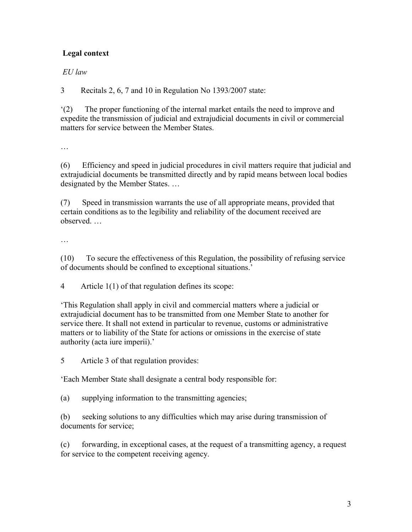# **Legal context**

### *EU law*

3 Recitals 2, 6, 7 and 10 in Regulation No 1393/2007 state:

'(2) The proper functioning of the internal market entails the need to improve and expedite the transmission of judicial and extrajudicial documents in civil or commercial matters for service between the Member States.

…

(6) Efficiency and speed in judicial procedures in civil matters require that judicial and extrajudicial documents be transmitted directly and by rapid means between local bodies designated by the Member States. …

(7) Speed in transmission warrants the use of all appropriate means, provided that certain conditions as to the legibility and reliability of the document received are observed. …

…

(10) To secure the effectiveness of this Regulation, the possibility of refusing service of documents should be confined to exceptional situations.'

4 Article 1(1) of that regulation defines its scope:

'This Regulation shall apply in civil and commercial matters where a judicial or extrajudicial document has to be transmitted from one Member State to another for service there. It shall not extend in particular to revenue, customs or administrative matters or to liability of the State for actions or omissions in the exercise of state authority (acta iure imperii).'

5 Article 3 of that regulation provides:

'Each Member State shall designate a central body responsible for:

(a) supplying information to the transmitting agencies;

(b) seeking solutions to any difficulties which may arise during transmission of documents for service;

(c) forwarding, in exceptional cases, at the request of a transmitting agency, a request for service to the competent receiving agency.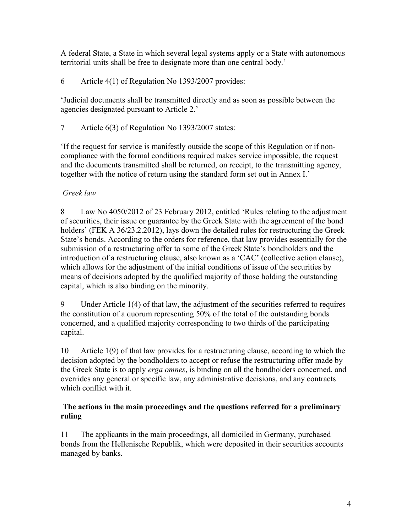A federal State, a State in which several legal systems apply or a State with autonomous territorial units shall be free to designate more than one central body.'

6 Article 4(1) of Regulation No 1393/2007 provides:

'Judicial documents shall be transmitted directly and as soon as possible between the agencies designated pursuant to Article 2.'

7 Article 6(3) of Regulation No 1393/2007 states:

'If the request for service is manifestly outside the scope of this Regulation or if noncompliance with the formal conditions required makes service impossible, the request and the documents transmitted shall be returned, on receipt, to the transmitting agency, together with the notice of return using the standard form set out in Annex I.'

### *Greek law*

8 Law No 4050/2012 of 23 February 2012, entitled 'Rules relating to the adjustment of securities, their issue or guarantee by the Greek State with the agreement of the bond holders' (FEK A 36/23.2.2012), lays down the detailed rules for restructuring the Greek State's bonds. According to the orders for reference, that law provides essentially for the submission of a restructuring offer to some of the Greek State's bondholders and the introduction of a restructuring clause, also known as a 'CAC' (collective action clause), which allows for the adjustment of the initial conditions of issue of the securities by means of decisions adopted by the qualified majority of those holding the outstanding capital, which is also binding on the minority.

9 Under Article 1(4) of that law, the adjustment of the securities referred to requires the constitution of a quorum representing 50% of the total of the outstanding bonds concerned, and a qualified majority corresponding to two thirds of the participating capital.

10 Article 1(9) of that law provides for a restructuring clause, according to which the decision adopted by the bondholders to accept or refuse the restructuring offer made by the Greek State is to apply *erga omnes*, is binding on all the bondholders concerned, and overrides any general or specific law, any administrative decisions, and any contracts which conflict with it.

#### **The actions in the main proceedings and the questions referred for a preliminary ruling**

11 The applicants in the main proceedings, all domiciled in Germany, purchased bonds from the Hellenische Republik, which were deposited in their securities accounts managed by banks.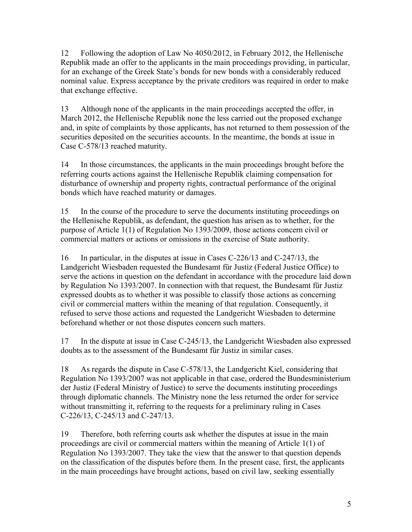12 Following the adoption of Law No 4050/2012, in February 2012, the Hellenische Republik made an offer to the applicants in the main proceedings providing, in particular, for an exchange of the Greek State's bonds for new bonds with a considerably reduced nominal value. Express acceptance by the private creditors was required in order to make that exchange effective.

13 Although none of the applicants in the main proceedings accepted the offer, in March 2012, the Hellenische Republik none the less carried out the proposed exchange and, in spite of complaints by those applicants, has not returned to them possession of the securities deposited on the securities accounts. In the meantime, the bonds at issue in Case C-578/13 reached maturity.

14 In those circumstances, the applicants in the main proceedings brought before the referring courts actions against the Hellenische Republik claiming compensation for disturbance of ownership and property rights, contractual performance of the original bonds which have reached maturity or damages.

15 In the course of the procedure to serve the documents instituting proceedings on the Hellenische Republik, as defendant, the question has arisen as to whether, for the purpose of Article 1(1) of Regulation No 1393/2009, those actions concern civil or commercial matters or actions or omissions in the exercise of State authority.

16 In particular, in the disputes at issue in Cases C-226/13 and C-247/13, the Landgericht Wiesbaden requested the Bundesamt für Justiz (Federal Justice Office) to serve the actions in question on the defendant in accordance with the procedure laid down by Regulation No 1393/2007. In connection with that request, the Bundesamt für Justiz expressed doubts as to whether it was possible to classify those actions as concerning civil or commercial matters within the meaning of that regulation. Consequently, it refused to serve those actions and requested the Landgericht Wiesbaden to determine beforehand whether or not those disputes concern such matters.

17 In the dispute at issue in Case C-245/13, the Landgericht Wiesbaden also expressed doubts as to the assessment of the Bundesamt für Justiz in similar cases.

18 As regards the dispute in Case C-578/13, the Landgericht Kiel, considering that Regulation No 1393/2007 was not applicable in that case, ordered the Bundesministerium der Justiz (Federal Ministry of Justice) to serve the documents instituting proceedings through diplomatic channels. The Ministry none the less returned the order for service without transmitting it, referring to the requests for a preliminary ruling in Cases C-226/13, C-245/13 and C-247/13.

19 Therefore, both referring courts ask whether the disputes at issue in the main proceedings are civil or commercial matters within the meaning of Article 1(1) of Regulation No 1393/2007. They take the view that the answer to that question depends on the classification of the disputes before them. In the present case, first, the applicants in the main proceedings have brought actions, based on civil law, seeking essentially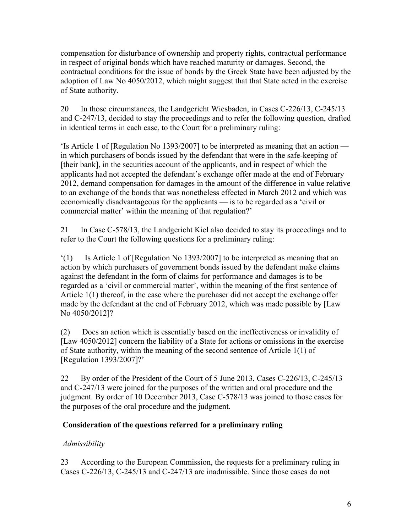compensation for disturbance of ownership and property rights, contractual performance in respect of original bonds which have reached maturity or damages. Second, the contractual conditions for the issue of bonds by the Greek State have been adjusted by the adoption of Law No 4050/2012, which might suggest that that State acted in the exercise of State authority.

20 In those circumstances, the Landgericht Wiesbaden, in Cases C-226/13, C-245/13 and C-247/13, decided to stay the proceedings and to refer the following question, drafted in identical terms in each case, to the Court for a preliminary ruling:

'Is Article 1 of [Regulation No 1393/2007] to be interpreted as meaning that an action in which purchasers of bonds issued by the defendant that were in the safe-keeping of [their bank], in the securities account of the applicants, and in respect of which the applicants had not accepted the defendant's exchange offer made at the end of February 2012, demand compensation for damages in the amount of the difference in value relative to an exchange of the bonds that was nonetheless effected in March 2012 and which was economically disadvantageous for the applicants — is to be regarded as a 'civil or commercial matter' within the meaning of that regulation?'

21 In Case C-578/13, the Landgericht Kiel also decided to stay its proceedings and to refer to the Court the following questions for a preliminary ruling:

'(1) Is Article 1 of [Regulation No 1393/2007] to be interpreted as meaning that an action by which purchasers of government bonds issued by the defendant make claims against the defendant in the form of claims for performance and damages is to be regarded as a 'civil or commercial matter', within the meaning of the first sentence of Article 1(1) thereof, in the case where the purchaser did not accept the exchange offer made by the defendant at the end of February 2012, which was made possible by [Law No 4050/2012]?

(2) Does an action which is essentially based on the ineffectiveness or invalidity of [Law 4050/2012] concern the liability of a State for actions or omissions in the exercise of State authority, within the meaning of the second sentence of Article 1(1) of [Regulation 1393/2007]?'

22 By order of the President of the Court of 5 June 2013, Cases C-226/13, C-245/13 and C-247/13 were joined for the purposes of the written and oral procedure and the judgment. By order of 10 December 2013, Case C-578/13 was joined to those cases for the purposes of the oral procedure and the judgment.

# **Consideration of the questions referred for a preliminary ruling**

# *Admissibility*

23 According to the European Commission, the requests for a preliminary ruling in Cases C-226/13, C-245/13 and C-247/13 are inadmissible. Since those cases do not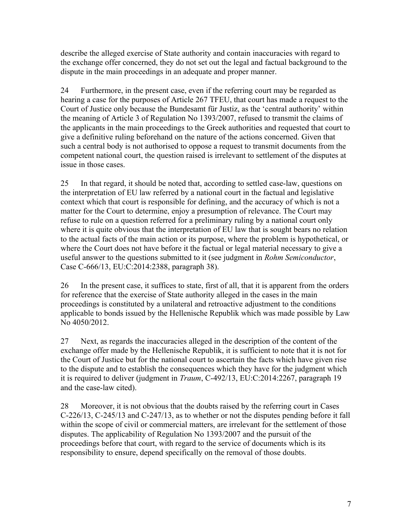describe the alleged exercise of State authority and contain inaccuracies with regard to the exchange offer concerned, they do not set out the legal and factual background to the dispute in the main proceedings in an adequate and proper manner.

24 Furthermore, in the present case, even if the referring court may be regarded as hearing a case for the purposes of Article 267 TFEU, that court has made a request to the Court of Justice only because the Bundesamt für Justiz, as the 'central authority' within the meaning of Article 3 of Regulation No 1393/2007, refused to transmit the claims of the applicants in the main proceedings to the Greek authorities and requested that court to give a definitive ruling beforehand on the nature of the actions concerned. Given that such a central body is not authorised to oppose a request to transmit documents from the competent national court, the question raised is irrelevant to settlement of the disputes at issue in those cases.

25 In that regard, it should be noted that, according to settled case-law, questions on the interpretation of EU law referred by a national court in the factual and legislative context which that court is responsible for defining, and the accuracy of which is not a matter for the Court to determine, enjoy a presumption of relevance. The Court may refuse to rule on a question referred for a preliminary ruling by a national court only where it is quite obvious that the interpretation of EU law that is sought bears no relation to the actual facts of the main action or its purpose, where the problem is hypothetical, or where the Court does not have before it the factual or legal material necessary to give a useful answer to the questions submitted to it (see judgment in *Rohm Semiconductor*, Case C-666/13, EU:C:2014:2388, paragraph 38).

26 In the present case, it suffices to state, first of all, that it is apparent from the orders for reference that the exercise of State authority alleged in the cases in the main proceedings is constituted by a unilateral and retroactive adjustment to the conditions applicable to bonds issued by the Hellenische Republik which was made possible by Law No 4050/2012.

27 Next, as regards the inaccuracies alleged in the description of the content of the exchange offer made by the Hellenische Republik, it is sufficient to note that it is not for the Court of Justice but for the national court to ascertain the facts which have given rise to the dispute and to establish the consequences which they have for the judgment which it is required to deliver (judgment in *Traum*, C-492/13, EU:C:2014:2267, paragraph 19 and the case-law cited).

28 Moreover, it is not obvious that the doubts raised by the referring court in Cases C-226/13, C-245/13 and C-247/13, as to whether or not the disputes pending before it fall within the scope of civil or commercial matters, are irrelevant for the settlement of those disputes. The applicability of Regulation No 1393/2007 and the pursuit of the proceedings before that court, with regard to the service of documents which is its responsibility to ensure, depend specifically on the removal of those doubts.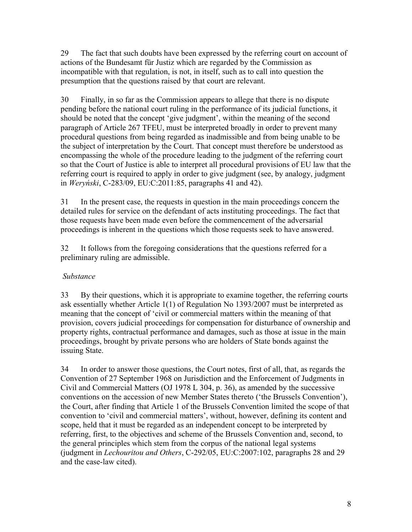29 The fact that such doubts have been expressed by the referring court on account of actions of the Bundesamt für Justiz which are regarded by the Commission as incompatible with that regulation, is not, in itself, such as to call into question the presumption that the questions raised by that court are relevant.

30 Finally, in so far as the Commission appears to allege that there is no dispute pending before the national court ruling in the performance of its judicial functions, it should be noted that the concept 'give judgment', within the meaning of the second paragraph of Article 267 TFEU, must be interpreted broadly in order to prevent many procedural questions from being regarded as inadmissible and from being unable to be the subject of interpretation by the Court. That concept must therefore be understood as encompassing the whole of the procedure leading to the judgment of the referring court so that the Court of Justice is able to interpret all procedural provisions of EU law that the referring court is required to apply in order to give judgment (see, by analogy, judgment in *Weryński*, C-283/09, EU:C:2011:85, paragraphs 41 and 42).

31 In the present case, the requests in question in the main proceedings concern the detailed rules for service on the defendant of acts instituting proceedings. The fact that those requests have been made even before the commencement of the adversarial proceedings is inherent in the questions which those requests seek to have answered.

32 It follows from the foregoing considerations that the questions referred for a preliminary ruling are admissible.

# *Substance*

33 By their questions, which it is appropriate to examine together, the referring courts ask essentially whether Article 1(1) of Regulation No 1393/2007 must be interpreted as meaning that the concept of 'civil or commercial matters within the meaning of that provision, covers judicial proceedings for compensation for disturbance of ownership and property rights, contractual performance and damages, such as those at issue in the main proceedings, brought by private persons who are holders of State bonds against the issuing State.

34 In order to answer those questions, the Court notes, first of all, that, as regards the Convention of 27 September 1968 on Jurisdiction and the Enforcement of Judgments in Civil and Commercial Matters (OJ 1978 L 304, p. 36), as amended by the successive conventions on the accession of new Member States thereto ('the Brussels Convention'), the Court, after finding that Article 1 of the Brussels Convention limited the scope of that convention to 'civil and commercial matters', without, however, defining its content and scope, held that it must be regarded as an independent concept to be interpreted by referring, first, to the objectives and scheme of the Brussels Convention and, second, to the general principles which stem from the corpus of the national legal systems (judgment in *Lechouritou and Others*, C-292/05, EU:C:2007:102, paragraphs 28 and 29 and the case-law cited).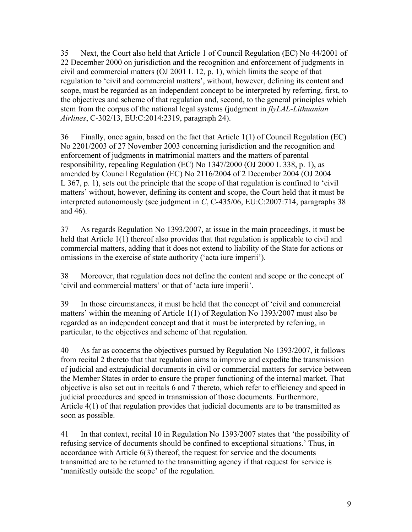35 Next, the Court also held that Article 1 of Council Regulation (EC) No 44/2001 of 22 December 2000 on jurisdiction and the recognition and enforcement of judgments in civil and commercial matters (OJ 2001 L 12, p. 1), which limits the scope of that regulation to 'civil and commercial matters', without, however, defining its content and scope, must be regarded as an independent concept to be interpreted by referring, first, to the objectives and scheme of that regulation and, second, to the general principles which stem from the corpus of the national legal systems (judgment in *flyLAL-Lithuanian Airlines*, C-302/13, EU:C:2014:2319, paragraph 24).

36 Finally, once again, based on the fact that Article 1(1) of Council Regulation (EC) No 2201/2003 of 27 November 2003 concerning jurisdiction and the recognition and enforcement of judgments in matrimonial matters and the matters of parental responsibility, repealing Regulation (EC) No 1347/2000 (OJ 2000 L 338, p. 1), as amended by Council Regulation (EC) No 2116/2004 of 2 December 2004 (OJ 2004 L 367, p. 1), sets out the principle that the scope of that regulation is confined to 'civil matters' without, however, defining its content and scope, the Court held that it must be interpreted autonomously (see judgment in *C*, C-435/06, EU:C:2007:714, paragraphs 38 and 46).

37 As regards Regulation No 1393/2007, at issue in the main proceedings, it must be held that Article 1(1) thereof also provides that that regulation is applicable to civil and commercial matters, adding that it does not extend to liability of the State for actions or omissions in the exercise of state authority ('acta iure imperii').

38 Moreover, that regulation does not define the content and scope or the concept of 'civil and commercial matters' or that of 'acta iure imperii'.

39 In those circumstances, it must be held that the concept of 'civil and commercial matters' within the meaning of Article 1(1) of Regulation No 1393/2007 must also be regarded as an independent concept and that it must be interpreted by referring, in particular, to the objectives and scheme of that regulation.

40 As far as concerns the objectives pursued by Regulation No 1393/2007, it follows from recital 2 thereto that that regulation aims to improve and expedite the transmission of judicial and extrajudicial documents in civil or commercial matters for service between the Member States in order to ensure the proper functioning of the internal market. That objective is also set out in recitals 6 and 7 thereto, which refer to efficiency and speed in judicial procedures and speed in transmission of those documents. Furthermore, Article 4(1) of that regulation provides that judicial documents are to be transmitted as soon as possible.

41 In that context, recital 10 in Regulation No 1393/2007 states that 'the possibility of refusing service of documents should be confined to exceptional situations.' Thus, in accordance with Article 6(3) thereof, the request for service and the documents transmitted are to be returned to the transmitting agency if that request for service is 'manifestly outside the scope' of the regulation.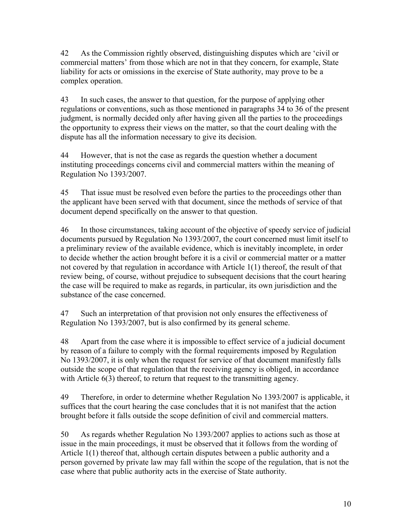42 As the Commission rightly observed, distinguishing disputes which are 'civil or commercial matters' from those which are not in that they concern, for example, State liability for acts or omissions in the exercise of State authority, may prove to be a complex operation.

43 In such cases, the answer to that question, for the purpose of applying other regulations or conventions, such as those mentioned in paragraphs 34 to 36 of the present judgment, is normally decided only after having given all the parties to the proceedings the opportunity to express their views on the matter, so that the court dealing with the dispute has all the information necessary to give its decision.

44 However, that is not the case as regards the question whether a document instituting proceedings concerns civil and commercial matters within the meaning of Regulation No 1393/2007.

45 That issue must be resolved even before the parties to the proceedings other than the applicant have been served with that document, since the methods of service of that document depend specifically on the answer to that question.

46 In those circumstances, taking account of the objective of speedy service of judicial documents pursued by Regulation No 1393/2007, the court concerned must limit itself to a preliminary review of the available evidence, which is inevitably incomplete, in order to decide whether the action brought before it is a civil or commercial matter or a matter not covered by that regulation in accordance with Article 1(1) thereof, the result of that review being, of course, without prejudice to subsequent decisions that the court hearing the case will be required to make as regards, in particular, its own jurisdiction and the substance of the case concerned.

47 Such an interpretation of that provision not only ensures the effectiveness of Regulation No 1393/2007, but is also confirmed by its general scheme.

48 Apart from the case where it is impossible to effect service of a judicial document by reason of a failure to comply with the formal requirements imposed by Regulation No 1393/2007, it is only when the request for service of that document manifestly falls outside the scope of that regulation that the receiving agency is obliged, in accordance with Article 6(3) thereof, to return that request to the transmitting agency.

49 Therefore, in order to determine whether Regulation No 1393/2007 is applicable, it suffices that the court hearing the case concludes that it is not manifest that the action brought before it falls outside the scope definition of civil and commercial matters.

50 As regards whether Regulation No 1393/2007 applies to actions such as those at issue in the main proceedings, it must be observed that it follows from the wording of Article 1(1) thereof that, although certain disputes between a public authority and a person governed by private law may fall within the scope of the regulation, that is not the case where that public authority acts in the exercise of State authority.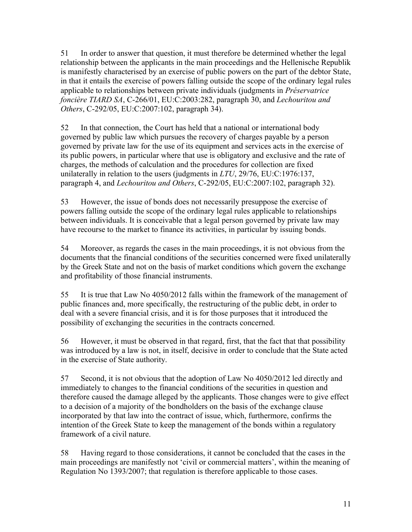51 In order to answer that question, it must therefore be determined whether the legal relationship between the applicants in the main proceedings and the Hellenische Republik is manifestly characterised by an exercise of public powers on the part of the debtor State, in that it entails the exercise of powers falling outside the scope of the ordinary legal rules applicable to relationships between private individuals (judgments in *Préservatrice foncière TIARD SA*, C-266/01, EU:C:2003:282, paragraph 30, and *Lechouritou and Others*, C-292/05, EU:C:2007:102, paragraph 34).

52 In that connection, the Court has held that a national or international body governed by public law which pursues the recovery of charges payable by a person governed by private law for the use of its equipment and services acts in the exercise of its public powers, in particular where that use is obligatory and exclusive and the rate of charges, the methods of calculation and the procedures for collection are fixed unilaterally in relation to the users (judgments in *LTU*, 29/76, EU:C:1976:137, paragraph 4, and *Lechouritou and Others*, C-292/05, EU:C:2007:102, paragraph 32).

53 However, the issue of bonds does not necessarily presuppose the exercise of powers falling outside the scope of the ordinary legal rules applicable to relationships between individuals. It is conceivable that a legal person governed by private law may have recourse to the market to finance its activities, in particular by issuing bonds.

54 Moreover, as regards the cases in the main proceedings, it is not obvious from the documents that the financial conditions of the securities concerned were fixed unilaterally by the Greek State and not on the basis of market conditions which govern the exchange and profitability of those financial instruments.

55 It is true that Law No 4050/2012 falls within the framework of the management of public finances and, more specifically, the restructuring of the public debt, in order to deal with a severe financial crisis, and it is for those purposes that it introduced the possibility of exchanging the securities in the contracts concerned.

56 However, it must be observed in that regard, first, that the fact that that possibility was introduced by a law is not, in itself, decisive in order to conclude that the State acted in the exercise of State authority.

57 Second, it is not obvious that the adoption of Law No 4050/2012 led directly and immediately to changes to the financial conditions of the securities in question and therefore caused the damage alleged by the applicants. Those changes were to give effect to a decision of a majority of the bondholders on the basis of the exchange clause incorporated by that law into the contract of issue, which, furthermore, confirms the intention of the Greek State to keep the management of the bonds within a regulatory framework of a civil nature.

58 Having regard to those considerations, it cannot be concluded that the cases in the main proceedings are manifestly not 'civil or commercial matters', within the meaning of Regulation No 1393/2007; that regulation is therefore applicable to those cases.